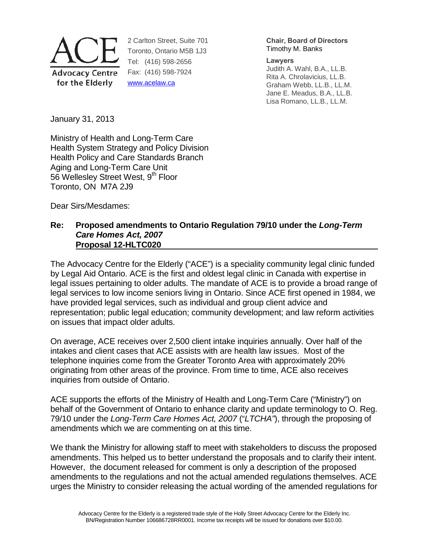

2 Carlton Street, Suite 701 Toronto, Ontario M5B 1J3 Tel: (416) 598-2656 Fax: (416) 598-7924 www.acelaw.ca

**Chair, Board of Directors** Timothy M. Banks

**Lawyers**

Judith A. Wahl, B.A., LL.B. Rita A. Chrolavicius, LL.B. Graham Webb, LL.B., LL.M. Jane E. Meadus, B.A., LL.B. Lisa Romano, LL.B., LL.M.

January 31, 2013

Ministry of Health and Long-Term Care Health System Strategy and Policy Division Health Policy and Care Standards Branch Aging and Long-Term Care Unit 56 Wellesley Street West, 9<sup>th</sup> Floor Toronto, ON M7A 2J9

Dear Sirs/Mesdames:

### **Re: Proposed amendments to Ontario Regulation 79/10 under the** *Long-Term Care Homes Act, 2007* **Proposal 12-HLTC020**

The Advocacy Centre for the Elderly ("ACE") is a speciality community legal clinic funded by Legal Aid Ontario. ACE is the first and oldest legal clinic in Canada with expertise in legal issues pertaining to older adults. The mandate of ACE is to provide a broad range of legal services to low income seniors living in Ontario. Since ACE first opened in 1984, we have provided legal services, such as individual and group client advice and representation; public legal education; community development; and law reform activities on issues that impact older adults.

On average, ACE receives over 2,500 client intake inquiries annually. Over half of the intakes and client cases that ACE assists with are health law issues. Most of the telephone inquiries come from the Greater Toronto Area with approximately 20% originating from other areas of the province. From time to time, ACE also receives inquiries from outside of Ontario.

ACE supports the efforts of the Ministry of Health and Long-Term Care ("Ministry") on behalf of the Government of Ontario to enhance clarity and update terminology to O. Reg. 79/10 under the *Long-Term Care Homes Act, 2007* ("*LTCHA"*), through the proposing of amendments which we are commenting on at this time.

We thank the Ministry for allowing staff to meet with stakeholders to discuss the proposed amendments. This helped us to better understand the proposals and to clarify their intent. However, the document released for comment is only a description of the proposed amendments to the regulations and not the actual amended regulations themselves. ACE urges the Ministry to consider releasing the actual wording of the amended regulations for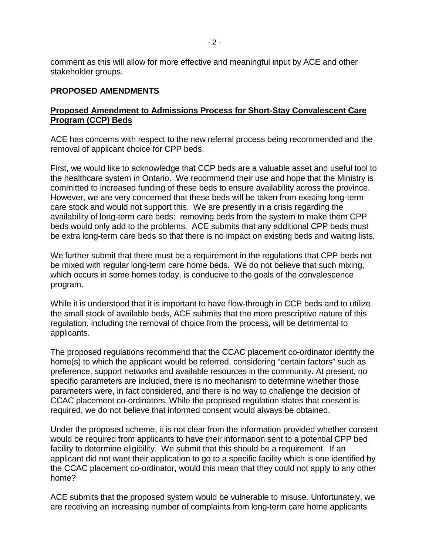comment as this will allow for more effective and meaningful input by ACE and other stakeholder groups.

#### **PROPOSED AMENDMENTS**

#### **Proposed Amendment to Admissions Process for Short-Stay Convalescent Care Program (CCP) Beds**

ACE has concerns with respect to the new referral process being recommended and the removal of applicant choice for CPP beds.

First, we would like to acknowledge that CCP beds are a valuable asset and useful tool to the healthcare system in Ontario. We recommend their use and hope that the Ministry is committed to increased funding of these beds to ensure availability across the province. However, we are very concerned that these beds will be taken from existing long-term care stock and would not support this. We are presently in a crisis regarding the availability of long-term care beds: removing beds from the system to make them CPP beds would only add to the problems. ACE submits that any additional CPP beds must be extra long-term care beds so that there is no impact on existing beds and waiting lists.

We further submit that there must be a requirement in the regulations that CPP beds not be mixed with regular long-term care home beds. We do not believe that such mixing, which occurs in some homes today, is conducive to the goals of the convalescence program.

While it is understood that it is important to have flow-through in CCP beds and to utilize the small stock of available beds, ACE submits that the more prescriptive nature of this regulation, including the removal of choice from the process, will be detrimental to applicants.

The proposed regulations recommend that the CCAC placement co-ordinator identify the home(s) to which the applicant would be referred, considering "certain factors" such as preference, support networks and available resources in the community. At present, no specific parameters are included, there is no mechanism to determine whether those parameters were, in fact considered, and there is no way to challenge the decision of CCAC placement co-ordinators. While the proposed regulation states that consent is required, we do not believe that informed consent would always be obtained.

Under the proposed scheme, it is not clear from the information provided whether consent would be required from applicants to have their information sent to a potential CPP bed facility to determine eligibility. We submit that this should be a requirement. If an applicant did not want their application to go to a specific facility which is one identified by the CCAC placement co-ordinator, would this mean that they could not apply to any other home?

ACE submits that the proposed system would be vulnerable to misuse. Unfortunately, we are receiving an increasing number of complaints from long-term care home applicants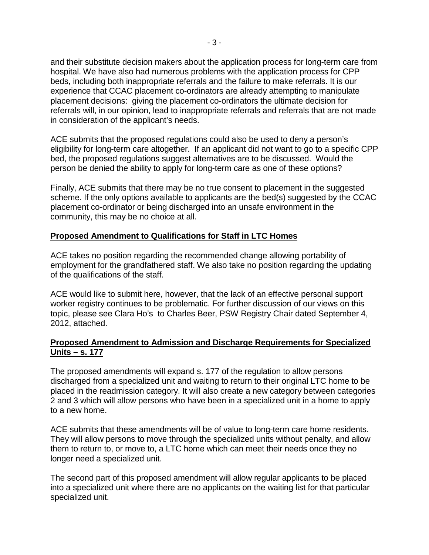and their substitute decision makers about the application process for long-term care from hospital. We have also had numerous problems with the application process for CPP beds, including both inappropriate referrals and the failure to make referrals. It is our experience that CCAC placement co-ordinators are already attempting to manipulate placement decisions: giving the placement co-ordinators the ultimate decision for referrals will, in our opinion, lead to inappropriate referrals and referrals that are not made in consideration of the applicant's needs.

ACE submits that the proposed regulations could also be used to deny a person's eligibility for long-term care altogether. If an applicant did not want to go to a specific CPP bed, the proposed regulations suggest alternatives are to be discussed. Would the person be denied the ability to apply for long-term care as one of these options?

Finally, ACE submits that there may be no true consent to placement in the suggested scheme. If the only options available to applicants are the bed(s) suggested by the CCAC placement co-ordinator or being discharged into an unsafe environment in the community, this may be no choice at all.

## **Proposed Amendment to Qualifications for Staff in LTC Homes**

ACE takes no position regarding the recommended change allowing portability of employment for the grandfathered staff. We also take no position regarding the updating of the qualifications of the staff.

ACE would like to submit here, however, that the lack of an effective personal support worker registry continues to be problematic. For further discussion of our views on this topic, please see Clara Ho's to Charles Beer, PSW Registry Chair dated September 4, 2012, attached.

## **Proposed Amendment to Admission and Discharge Requirements for Specialized Units – s. 177**

The proposed amendments will expand s. 177 of the regulation to allow persons discharged from a specialized unit and waiting to return to their original LTC home to be placed in the readmission category. It will also create a new category between categories 2 and 3 which will allow persons who have been in a specialized unit in a home to apply to a new home.

ACE submits that these amendments will be of value to long-term care home residents. They will allow persons to move through the specialized units without penalty, and allow them to return to, or move to, a LTC home which can meet their needs once they no longer need a specialized unit.

The second part of this proposed amendment will allow regular applicants to be placed into a specialized unit where there are no applicants on the waiting list for that particular specialized unit.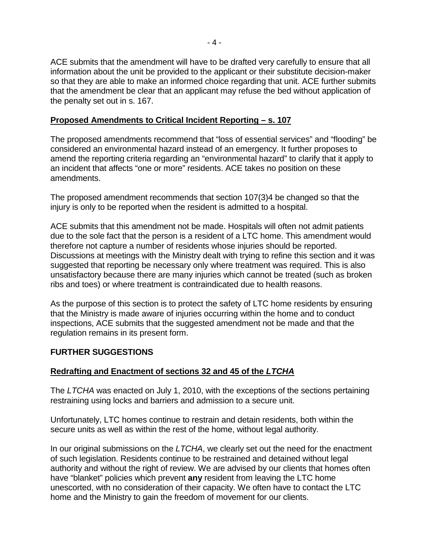ACE submits that the amendment will have to be drafted very carefully to ensure that all information about the unit be provided to the applicant or their substitute decision-maker so that they are able to make an informed choice regarding that unit. ACE further submits that the amendment be clear that an applicant may refuse the bed without application of the penalty set out in s. 167.

#### **Proposed Amendments to Critical Incident Reporting – s. 107**

The proposed amendments recommend that "loss of essential services" and "flooding" be considered an environmental hazard instead of an emergency. It further proposes to amend the reporting criteria regarding an "environmental hazard" to clarify that it apply to an incident that affects "one or more" residents. ACE takes no position on these amendments.

The proposed amendment recommends that section 107(3)4 be changed so that the injury is only to be reported when the resident is admitted to a hospital.

ACE submits that this amendment not be made. Hospitals will often not admit patients due to the sole fact that the person is a resident of a LTC home. This amendment would therefore not capture a number of residents whose injuries should be reported. Discussions at meetings with the Ministry dealt with trying to refine this section and it was suggested that reporting be necessary only where treatment was required. This is also unsatisfactory because there are many injuries which cannot be treated (such as broken ribs and toes) or where treatment is contraindicated due to health reasons.

As the purpose of this section is to protect the safety of LTC home residents by ensuring that the Ministry is made aware of injuries occurring within the home and to conduct inspections, ACE submits that the suggested amendment not be made and that the regulation remains in its present form.

### **FURTHER SUGGESTIONS**

### **Redrafting and Enactment of sections 32 and 45 of the** *LTCHA*

The *LTCHA* was enacted on July 1, 2010, with the exceptions of the sections pertaining restraining using locks and barriers and admission to a secure unit.

Unfortunately, LTC homes continue to restrain and detain residents, both within the secure units as well as within the rest of the home, without legal authority.

In our original submissions on the *LTCHA*, we clearly set out the need for the enactment of such legislation. Residents continue to be restrained and detained without legal authority and without the right of review. We are advised by our clients that homes often have "blanket" policies which prevent **any** resident from leaving the LTC home unescorted, with no consideration of their capacity. We often have to contact the LTC home and the Ministry to gain the freedom of movement for our clients.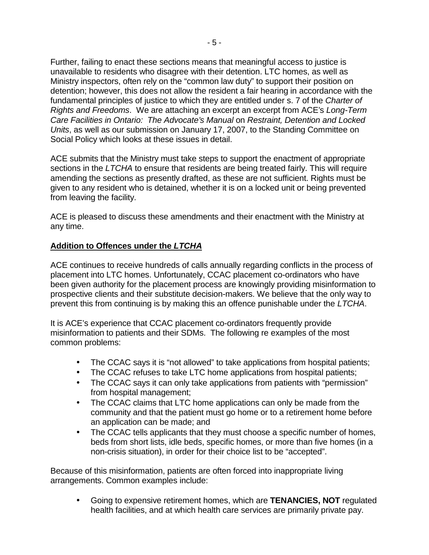Further, failing to enact these sections means that meaningful access to justice is unavailable to residents who disagree with their detention. LTC homes, as well as Ministry inspectors, often rely on the "common law duty" to support their position on detention; however, this does not allow the resident a fair hearing in accordance with the fundamental principles of justice to which they are entitled under s. 7 of the *Charter of Rights and Freedoms*. We are attaching an excerpt an excerpt from ACE's *Long-Term Care Facilities in Ontario: The Advocate's Manual* on *Restraint, Detention and Locked Units*, as well as our submission on January 17, 2007, to the Standing Committee on Social Policy which looks at these issues in detail.

ACE submits that the Ministry must take steps to support the enactment of appropriate sections in the *LTCHA* to ensure that residents are being treated fairly. This will require amending the sections as presently drafted, as these are not sufficient. Rights must be given to any resident who is detained, whether it is on a locked unit or being prevented from leaving the facility.

ACE is pleased to discuss these amendments and their enactment with the Ministry at any time.

## **Addition to Offences under the** *LTCHA*

ACE continues to receive hundreds of calls annually regarding conflicts in the process of placement into LTC homes. Unfortunately, CCAC placement co-ordinators who have been given authority for the placement process are knowingly providing misinformation to prospective clients and their substitute decision-makers. We believe that the only way to prevent this from continuing is by making this an offence punishable under the *LTCHA*.

It is ACE's experience that CCAC placement co-ordinators frequently provide misinformation to patients and their SDMs. The following re examples of the most common problems:

- The CCAC says it is "not allowed" to take applications from hospital patients;
- The CCAC refuses to take LTC home applications from hospital patients;
- The CCAC says it can only take applications from patients with "permission" from hospital management;
- The CCAC claims that LTC home applications can only be made from the community and that the patient must go home or to a retirement home before an application can be made; and
- The CCAC tells applicants that they must choose a specific number of homes, beds from short lists, idle beds, specific homes, or more than five homes (in a non-crisis situation), in order for their choice list to be "accepted".

Because of this misinformation, patients are often forced into inappropriate living arrangements. Common examples include:

 Going to expensive retirement homes, which are **TENANCIES, NOT** regulated health facilities, and at which health care services are primarily private pay.